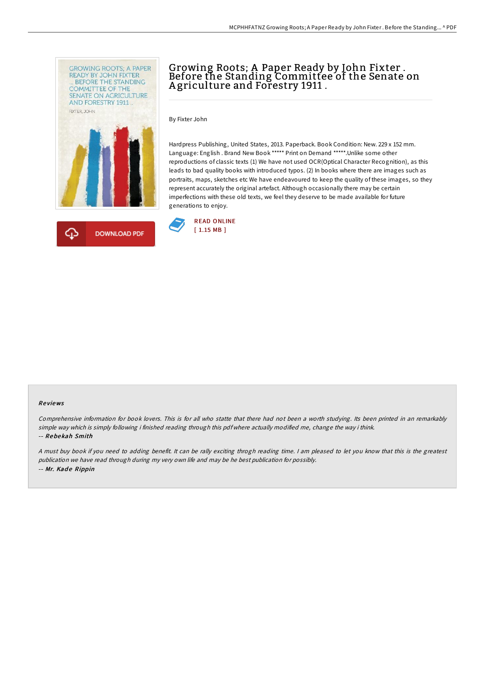



# Growing Roots; A Paper Ready by John Fixter . Before the Standing Committee of the Senate on A griculture and Forestry 1911 .

By Fixter John

Hardpress Publishing, United States, 2013. Paperback. Book Condition: New. 229 x 152 mm. Language: English . Brand New Book \*\*\*\*\* Print on Demand \*\*\*\*\*.Unlike some other reproductions of classic texts (1) We have not used OCR(Optical Character Recognition), as this leads to bad quality books with introduced typos. (2) In books where there are images such as portraits, maps, sketches etc We have endeavoured to keep the quality of these images, so they represent accurately the original artefact. Although occasionally there may be certain imperfections with these old texts, we feel they deserve to be made available for future generations to enjoy.



#### Re views

Comprehensive information for book lovers. This is for all who statte that there had not been <sup>a</sup> worth studying. Its been printed in an remarkably simple way which is simply following i finished reading through this pdf where actually modified me, change the way i think. -- Rebe kah Smith

<sup>A</sup> must buy book if you need to adding benefit. It can be rally exciting throgh reading time. <sup>I</sup> am pleased to let you know that this is the greatest publication we have read through during my very own life and may be he best publication for possibly. -- Mr. Kade Rippin